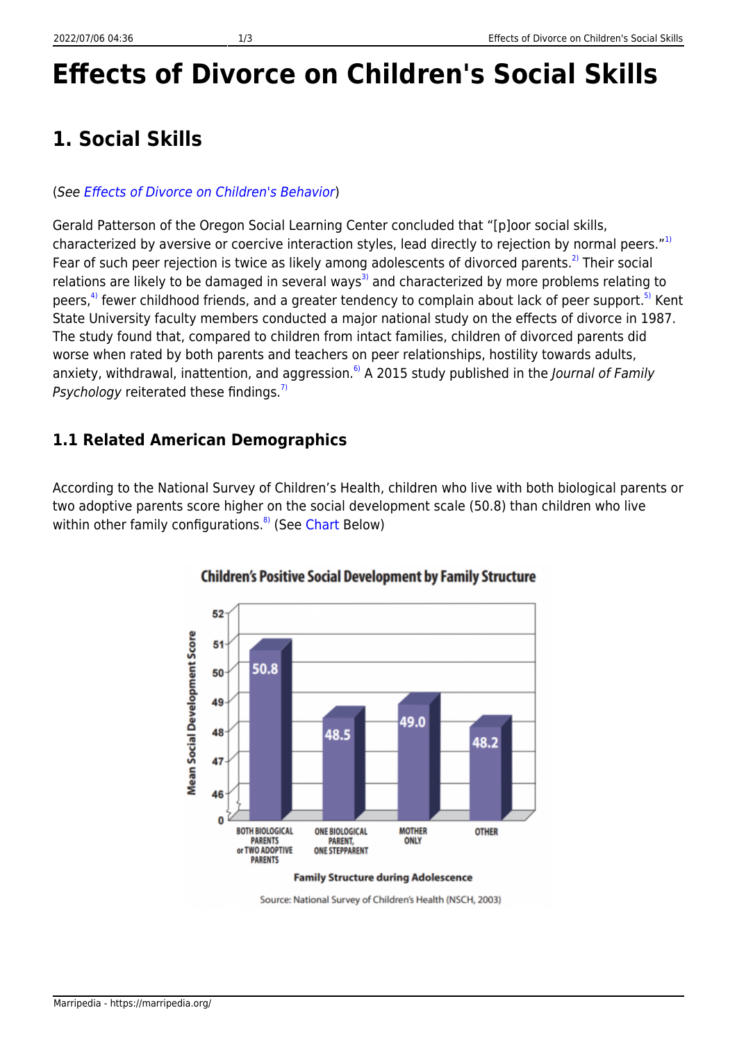# **Effects of Divorce on Children's Social Skills**

### **1. Social Skills**

#### (See [Effects of Divorce on Children's Behavior](https://marripedia.org/effects.of.divorce.on.children.s.behavior))

Gerald Patterson of the Oregon Social Learning Center concluded that "[p]oor social skills, characterized by aversive or coercive interaction styles, lead directly to rejection by normal peers."<sup>[1\)](#page--1-0)</sup> Fear of such peer rejection is twice as likely among adolescents of divorced parents.<sup>[2\)](#page--1-0)</sup> Their social relations are likely to be damaged in several ways<sup>[3\)](#page--1-0)</sup> and characterized by more problems relating to peers,<sup>[4\)](#page--1-0)</sup> fewer childhood friends, and a greater tendency to complain about lack of peer support.<sup>[5\)](#page--1-0)</sup> Kent State University faculty members conducted a major national study on the effects of divorce in 1987. The study found that, compared to children from intact families, children of divorced parents did worse when rated by both parents and teachers on peer relationships, hostility towards adults, anxiety, withdrawal, inattention, and aggression.<sup>6</sup>) A 2015 study published in the *Journal of Family* Psychology reiterated these findings.<sup>[7\)](#page--1-0)</sup>

### **1.1 Related American Demographics**

According to the National Survey of Children's Health, children who live with both biological parents or two adoptive parents score higher on the social development scale (50.8) than children who live within other family configurations.<sup>[8\)](#page--1-0)</sup> (See [Chart](http://downloads.frc.org/EF/EF09G09.pdf) Below)



#### **Children's Positive Social Development by Family Structure**

Source: National Survey of Children's Health (NSCH, 2003)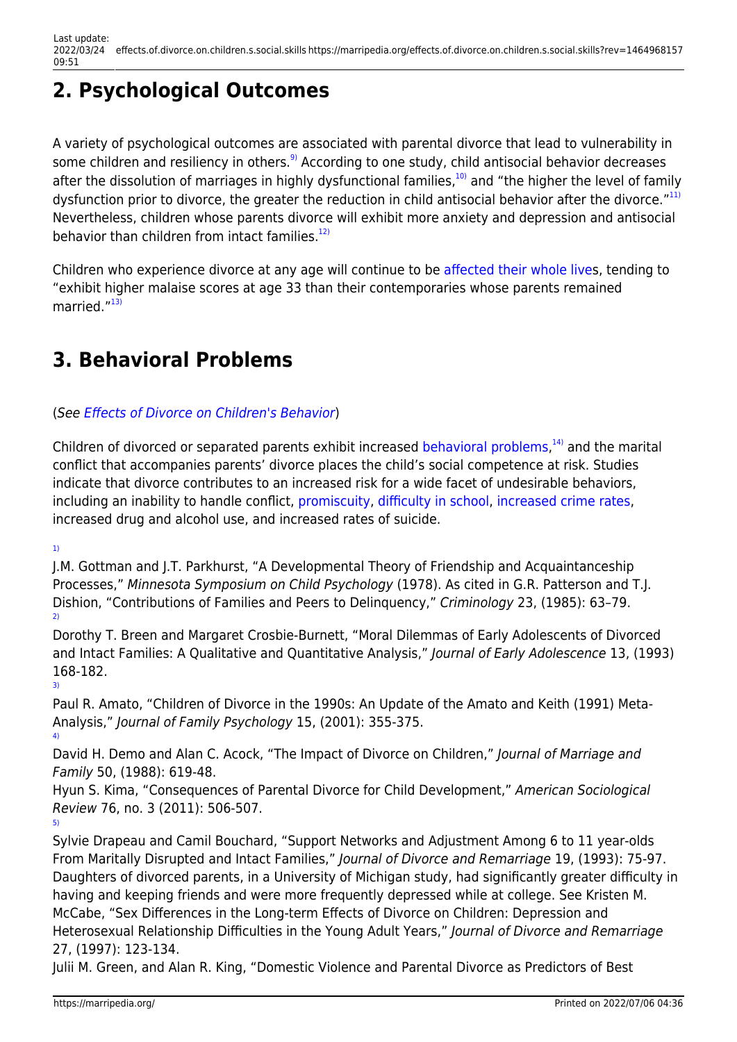# **2. Psychological Outcomes**

A variety of psychological outcomes are associated with parental divorce that lead to vulnerability in some children and resiliency in others.<sup>[9\)](#page--1-0)</sup> According to one study, child antisocial behavior decreases after the dissolution of marriages in highly dysfunctional families, $10$ ) and "the higher the level of family dysfunction prior to divorce, the greater the reduction in child antisocial behavior after the divorce."<sup>[11\)](#page--1-0)</sup> Nevertheless, children whose parents divorce will exhibit more anxiety and depression and antisocial behavior than children from intact families. $12$ 

Children who experience divorce at any age will continue to be [affected their whole lives](https://marripedia.org/long_term_effects_of_divorce), tending to "exhibit higher malaise scores at age 33 than their contemporaries whose parents remained married."[13\)](#page--1-0)

## **3. Behavioral Problems**

### (See [Effects of Divorce on Children's Behavior](https://marripedia.org/effects.of.divorce.on.children.s.behavior))

Children of divorced or separated parents exhibit increased [behavioral problems](https://marripedia.org/effects.of.divorce.on.children.s.behavior),<sup>[14\)](#page--1-0)</sup> and the marital conflict that accompanies parents' divorce places the child's social competence at risk. Studies indicate that divorce contributes to an increased risk for a wide facet of undesirable behaviors, including an inability to handle conflict, [promiscuity](https://marripedia.org/effects.of.divorce.on.children.s.sexual.activity), [difficulty in school](https://marripedia.org/effects_of_divorce_on_children_s_education), [increased crime rates](https://marripedia.org/effects_of_family_structure_on_crime), increased drug and alcohol use, and increased rates of suicide.

[1\)](#page--1-0)

[5\)](#page--1-0)

J.M. Gottman and J.T. Parkhurst, "A Developmental Theory of Friendship and Acquaintanceship Processes," Minnesota Symposium on Child Psychology (1978). As cited in G.R. Patterson and T.J. Dishion, "Contributions of Families and Peers to Delinquency," Criminology 23, (1985): 63–79. [2\)](#page--1-0)

Dorothy T. Breen and Margaret Crosbie-Burnett, "Moral Dilemmas of Early Adolescents of Divorced and Intact Families: A Qualitative and Quantitative Analysis," Journal of Early Adolescence 13, (1993) 168-182. [3\)](#page--1-0)

Paul R. Amato, "Children of Divorce in the 1990s: An Update of the Amato and Keith (1991) Meta-Analysis," Journal of Family Psychology 15, (2001): 355-375. [4\)](#page--1-0)

David H. Demo and Alan C. Acock, "The Impact of Divorce on Children," Journal of Marriage and Family 50, (1988): 619-48.

Hyun S. Kima, "Consequences of Parental Divorce for Child Development," American Sociological Review 76, no. 3 (2011): 506-507.

Sylvie Drapeau and Camil Bouchard, "Support Networks and Adjustment Among 6 to 11 year-olds From Maritally Disrupted and Intact Families," Journal of Divorce and Remarriage 19, (1993): 75-97. Daughters of divorced parents, in a University of Michigan study, had significantly greater difficulty in having and keeping friends and were more frequently depressed while at college. See Kristen M. McCabe, "Sex Differences in the Long-term Effects of Divorce on Children: Depression and Heterosexual Relationship Difficulties in the Young Adult Years," Journal of Divorce and Remarriage 27, (1997): 123-134.

Julii M. Green, and Alan R. King, "Domestic Violence and Parental Divorce as Predictors of Best